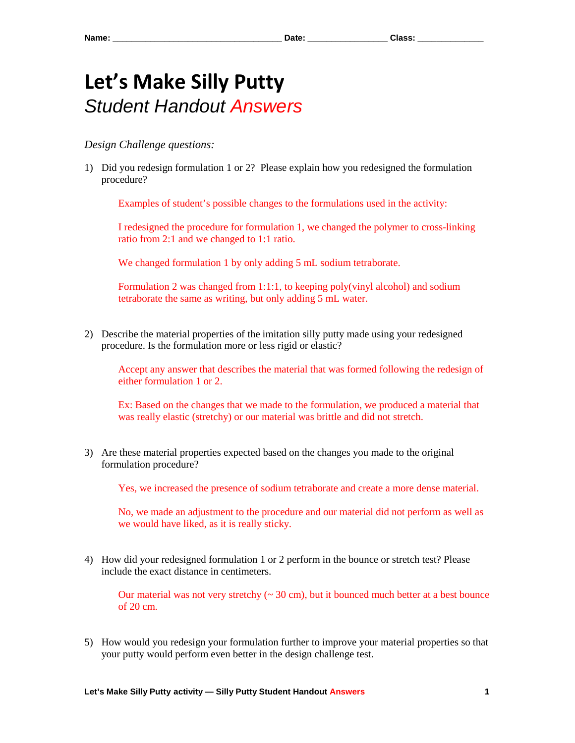## **Let's Make Silly Putty**  *Student Handout Answers*

## *Design Challenge questions:*

1) Did you redesign formulation 1 or 2? Please explain how you redesigned the formulation procedure?

Examples of student's possible changes to the formulations used in the activity:

I redesigned the procedure for formulation 1, we changed the polymer to cross-linking ratio from 2:1 and we changed to 1:1 ratio.

We changed formulation 1 by only adding 5 mL sodium tetraborate.

Formulation 2 was changed from 1:1:1, to keeping poly(vinyl alcohol) and sodium tetraborate the same as writing, but only adding 5 mL water.

2) Describe the material properties of the imitation silly putty made using your redesigned procedure. Is the formulation more or less rigid or elastic?

Accept any answer that describes the material that was formed following the redesign of either formulation 1 or 2.

Ex: Based on the changes that we made to the formulation, we produced a material that was really elastic (stretchy) or our material was brittle and did not stretch.

3) Are these material properties expected based on the changes you made to the original formulation procedure?

Yes, we increased the presence of sodium tetraborate and create a more dense material.

No, we made an adjustment to the procedure and our material did not perform as well as we would have liked, as it is really sticky.

4) How did your redesigned formulation 1 or 2 perform in the bounce or stretch test? Please include the exact distance in centimeters.

Our material was not very stretchy  $\sim 30$  cm), but it bounced much better at a best bounce of 20 cm.

5) How would you redesign your formulation further to improve your material properties so that your putty would perform even better in the design challenge test.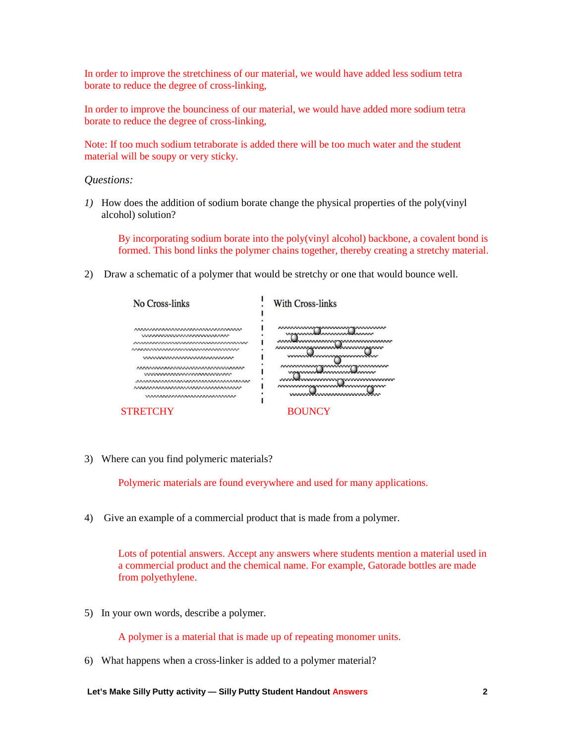In order to improve the stretchiness of our material, we would have added less sodium tetra borate to reduce the degree of cross-linking,

In order to improve the bounciness of our material, we would have added more sodium tetra borate to reduce the degree of cross-linking,

Note: If too much sodium tetraborate is added there will be too much water and the student material will be soupy or very sticky.

*Questions:* 

*1)* How does the addition of sodium borate change the physical properties of the poly(vinyl alcohol) solution?

By incorporating sodium borate into the poly(vinyl alcohol) backbone, a covalent bond is formed. This bond links the polymer chains together, thereby creating a stretchy material.

2) Draw a schematic of a polymer that would be stretchy or one that would bounce well.

| No Cross-links                                                                                                            | With Cross-links                                                                                                                                                                                                                                                     |
|---------------------------------------------------------------------------------------------------------------------------|----------------------------------------------------------------------------------------------------------------------------------------------------------------------------------------------------------------------------------------------------------------------|
| wwwwwwwwwwwwww<br>nnnnnnnnnnnnnnnnnnnnnnnnn<br><u>www.www.www.www.www.</u>                                                | <u>www.www.communistic.com</u><br>waannoo maannoo muun<br><u>www.channammummmmmmmmmmmm</u><br>mmmmmmmmmmmmmmmmmm<br>mmmtmmmmmmmmm<br><u>www.www.mwww.mwww.mw</u><br>manment hummans humm<br>wwwww <del>w</del> wwwwwww<br>www<br>nnnnnnsnnnnnnnnnnnn<br>mmmmmmmmmmmm |
| naannaannaannaannaannaannaanna<br>mmmmmmmmmmmm<br>nnnnnnnnnnnnnnnnnnnnnnnnnnn<br>nnnnnnnnnnnnnnnnnnnnnnn<br>mmmmmmmmmmmmm |                                                                                                                                                                                                                                                                      |
| <b>STRETCHY</b>                                                                                                           | <b>BOUNCY</b>                                                                                                                                                                                                                                                        |

3) Where can you find polymeric materials?

Polymeric materials are found everywhere and used for many applications.

4) Give an example of a commercial product that is made from a polymer.

Lots of potential answers. Accept any answers where students mention a material used in a commercial product and the chemical name. For example, Gatorade bottles are made from polyethylene.

5) In your own words, describe a polymer.

A polymer is a material that is made up of repeating monomer units.

6) What happens when a cross-linker is added to a polymer material?

**Let's Make Silly Putty activity — Silly Putty Student Handout Answers 2**